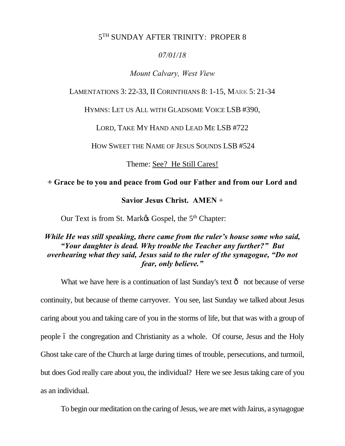## 5TH SUNDAY AFTER TRINITY: PROPER 8

## *07/01/18*

### *Mount Calvary, West View*

#### LAMENTATIONS 3: 22-33, II CORINTHIANS 8: 1-15, MARK 5: 21-34

HYMNS: LET US ALL WITH GLADSOME VOICE LSB #390,

LORD, TAKE MY HAND AND LEAD ME LSB #722

HOW SWEET THE NAME OF JESUS SOUNDS LSB #524

Theme: See? He Still Cares!

## **+ Grace be to you and peace from God our Father and from our Lord and**

## **Savior Jesus Christ. AMEN** +

Our Text is from St. Mark& Gospel, the 5<sup>th</sup> Chapter:

## *While He was still speaking, there came from the ruler's house some who said, "Your daughter is dead. Why trouble the Teacher any further?" But overhearing what they said, Jesus said to the ruler of the synagogue, "Do not fear, only believe."*

What we have here is a continuation of last Sunday's text  $\hat{o}$  not because of verse continuity, but because of theme carryover. You see, last Sunday we talked about Jesus caring about you and taking care of you in the storms of life, but that was with a group of people 6 the congregation and Christianity as a whole. Of course, Jesus and the Holy Ghost take care of the Church at large during times of trouble, persecutions, and turmoil, but does God really care about you, the individual? Here we see Jesus taking care of you as an individual.

To begin our meditation on the caring of Jesus, we are met with Jairus, a synagogue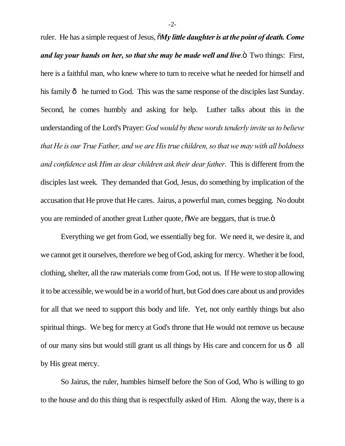ruler. He has a simple request of Jesus,  $\tilde{M}$ *y little daughter is at the point of death. Come and lay your hands on her, so that she may be made well and live*.<sup>5</sup> Two things: First, here is a faithful man, who knew where to turn to receive what he needed for himself and his family  $\hat{o}$  he turned to God. This was the same response of the disciples last Sunday. Second, he comes humbly and asking for help. Luther talks about this in the understanding of the Lord's Prayer: *God would by these words tenderly invite us to believe that He is our True Father, and we are His true children, so that we may with all boldness and confidence ask Him as dear children ask their dear father*. This is different from the disciples last week. They demanded that God, Jesus, do something by implication of the accusation that He prove that He cares. Jairus, a powerful man, comes begging. No doubt you are reminded of another great Luther quote,  $\delta$ We are beggars, that is true. $\ddot{\text{o}}$ 

Everything we get from God, we essentially beg for. We need it, we desire it, and we cannot get it ourselves, therefore we beg of God, asking for mercy. Whether it be food, clothing, shelter, all the raw materials come from God, not us. If He were to stop allowing it to be accessible, we would be in a world of hurt, but God does care about us and provides for all that we need to support this body and life. Yet, not only earthly things but also spiritual things. We beg for mercy at God's throne that He would not remove us because of our many sins but would still grant us all things by His care and concern for us  $\hat{o}$  all by His great mercy.

So Jairus, the ruler, humbles himself before the Son of God, Who is willing to go to the house and do this thing that is respectfully asked of Him. Along the way, there is a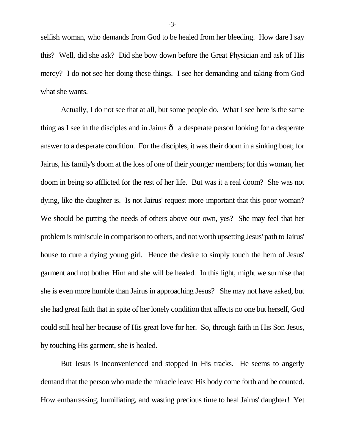selfish woman, who demands from God to be healed from her bleeding. How dare I say this? Well, did she ask? Did she bow down before the Great Physician and ask of His mercy? I do not see her doing these things. I see her demanding and taking from God what she wants.

Actually, I do not see that at all, but some people do. What I see here is the same thing as I see in the disciples and in Jairus  $\hat{o}$  a desperate person looking for a desperate answer to a desperate condition. For the disciples, it was their doom in a sinking boat; for Jairus, his family's doom at the loss of one of their younger members; for this woman, her doom in being so afflicted for the rest of her life. But was it a real doom? She was not dying, like the daughter is. Is not Jairus' request more important that this poor woman? We should be putting the needs of others above our own, yes? She may feel that her problem is miniscule in comparison to others, and not worth upsetting Jesus' path to Jairus' house to cure a dying young girl. Hence the desire to simply touch the hem of Jesus' garment and not bother Him and she will be healed. In this light, might we surmise that she is even more humble than Jairus in approaching Jesus? She may not have asked, but she had great faith that in spite of her lonely condition that affects no one but herself, God could still heal her because of His great love for her. So, through faith in His Son Jesus, by touching His garment, she is healed.

But Jesus is inconvenienced and stopped in His tracks. He seems to angerly demand that the person who made the miracle leave His body come forth and be counted. How embarrassing, humiliating, and wasting precious time to heal Jairus' daughter! Yet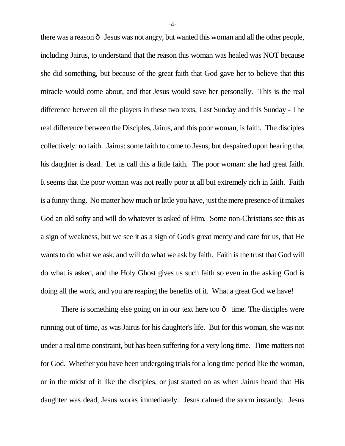there was a reason  $\hat{o}$  Jesus was not angry, but wanted this woman and all the other people, including Jairus, to understand that the reason this woman was healed was NOT because she did something, but because of the great faith that God gave her to believe that this miracle would come about, and that Jesus would save her personally. This is the real difference between all the players in these two texts, Last Sunday and this Sunday - The real difference between the Disciples, Jairus, and this poor woman, is faith. The disciples collectively: no faith. Jairus: some faith to come to Jesus, but despaired upon hearing that his daughter is dead. Let us call this a little faith. The poor woman: she had great faith. It seems that the poor woman was not really poor at all but extremely rich in faith. Faith is a funny thing. No matter how much or little you have, just the mere presence of it makes God an old softy and will do whatever is asked of Him. Some non-Christians see this as a sign of weakness, but we see it as a sign of God's great mercy and care for us, that He wants to do what we ask, and will do what we ask by faith. Faith is the trust that God will do what is asked, and the Holy Ghost gives us such faith so even in the asking God is doing all the work, and you are reaping the benefits of it. What a great God we have!

There is something else going on in our text here too  $\hat{o}$  time. The disciples were running out of time, as was Jairus for his daughter's life. But for this woman, she was not under a real time constraint, but has been suffering for a very long time. Time matters not for God. Whether you have been undergoing trials for a long time period like the woman, or in the midst of it like the disciples, or just started on as when Jairus heard that His daughter was dead, Jesus works immediately. Jesus calmed the storm instantly. Jesus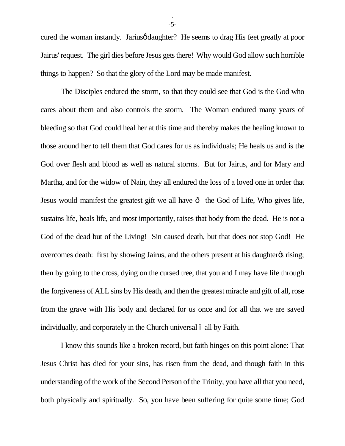cured the woman instantly. Jarius of daughter? He seems to drag His feet greatly at poor Jairus' request. The girl dies before Jesus gets there! Why would God allow such horrible things to happen? So that the glory of the Lord may be made manifest.

The Disciples endured the storm, so that they could see that God is the God who cares about them and also controls the storm. The Woman endured many years of bleeding so that God could heal her at this time and thereby makes the healing known to those around her to tell them that God cares for us as individuals; He heals us and is the God over flesh and blood as well as natural storms. But for Jairus, and for Mary and Martha, and for the widow of Nain, they all endured the loss of a loved one in order that Jesus would manifest the greatest gift we all have  $\hat{o}$  the God of Life, Who gives life, sustains life, heals life, and most importantly, raises that body from the dead. He is not a God of the dead but of the Living! Sin caused death, but that does not stop God! He overcomes death: first by showing Jairus, and the others present at his daughter  $\alpha$  rising; then by going to the cross, dying on the cursed tree, that you and I may have life through the forgiveness of ALL sins by His death, and then the greatest miracle and gift of all, rose from the grave with His body and declared for us once and for all that we are saved individually, and corporately in the Church universal  $\acute{o}$  all by Faith.

I know this sounds like a broken record, but faith hinges on this point alone: That Jesus Christ has died for your sins, has risen from the dead, and though faith in this understanding of the work of the Second Person of the Trinity, you have all that you need, both physically and spiritually. So, you have been suffering for quite some time; God

-5-